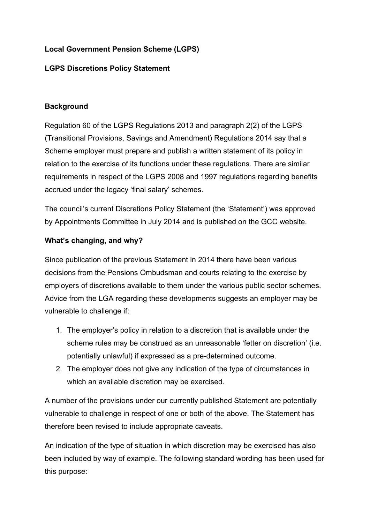## **Local Government Pension Scheme (LGPS)**

## **LGPS Discretions Policy Statement**

## **Background**

Regulation 60 of the LGPS Regulations 2013 and paragraph 2(2) of the LGPS (Transitional Provisions, Savings and Amendment) Regulations 2014 say that a Scheme employer must prepare and publish a written statement of its policy in relation to the exercise of its functions under these regulations. There are similar requirements in respect of the LGPS 2008 and 1997 regulations regarding benefits accrued under the legacy 'final salary' schemes.

The council's current Discretions Policy Statement (the 'Statement') was approved by Appointments Committee in July 2014 and is published on the GCC website.

## **What's changing, and why?**

Since publication of the previous Statement in 2014 there have been various decisions from the Pensions Ombudsman and courts relating to the exercise by employers of discretions available to them under the various public sector schemes. Advice from the LGA regarding these developments suggests an employer may be vulnerable to challenge if:

- 1. The employer's policy in relation to a discretion that is available under the scheme rules may be construed as an unreasonable 'fetter on discretion' (i.e. potentially unlawful) if expressed as a pre-determined outcome.
- 2. The employer does not give any indication of the type of circumstances in which an available discretion may be exercised.

A number of the provisions under our currently published Statement are potentially vulnerable to challenge in respect of one or both of the above. The Statement has therefore been revised to include appropriate caveats.

An indication of the type of situation in which discretion may be exercised has also been included by way of example. The following standard wording has been used for this purpose: